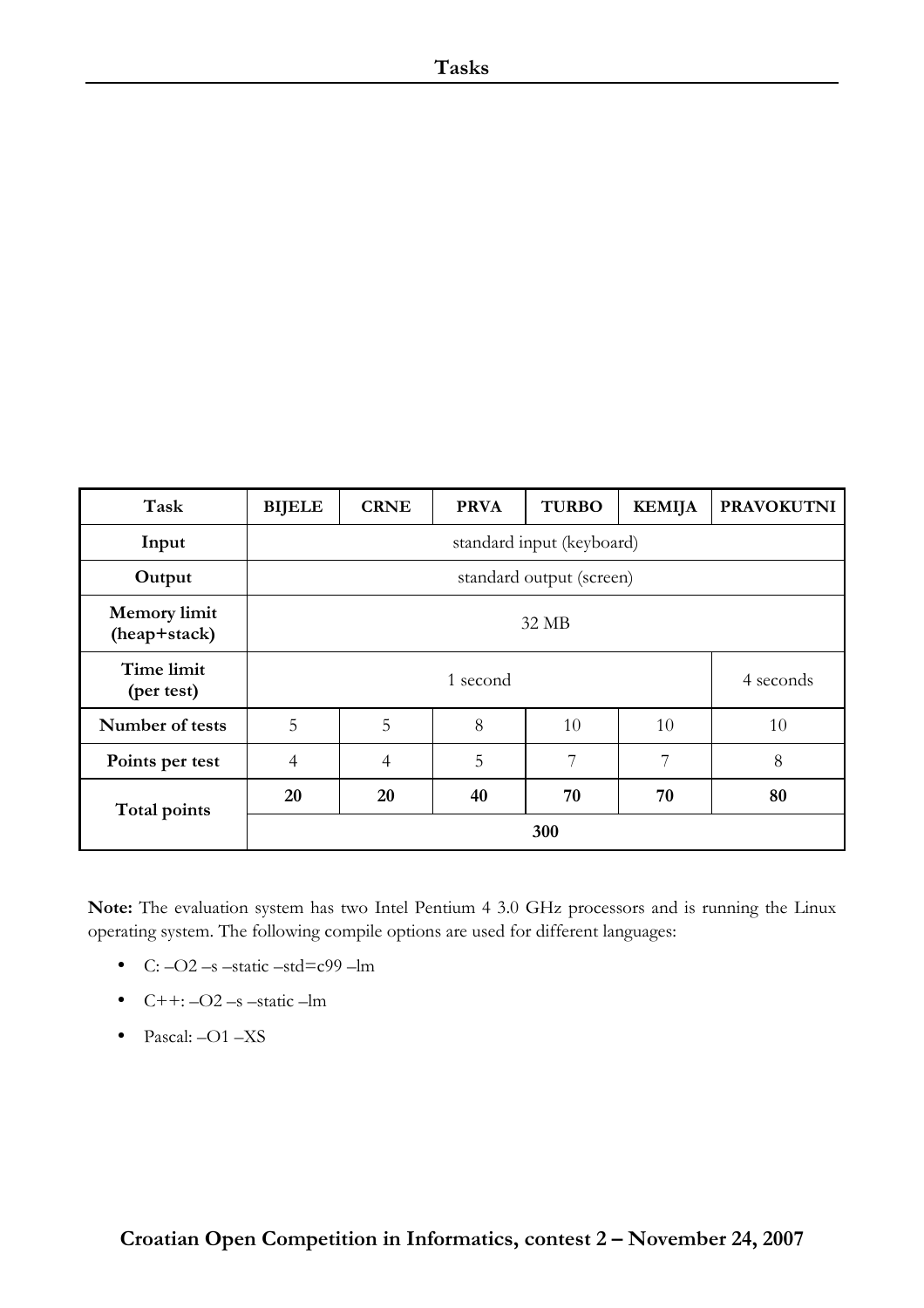| Task                                | <b>BIJELE</b>             | <b>CRNE</b> | <b>PRVA</b> | <b>TURBO</b> | <b>KEMIJA</b> | <b>PRAVOKUTNI</b> |
|-------------------------------------|---------------------------|-------------|-------------|--------------|---------------|-------------------|
| Input                               | standard input (keyboard) |             |             |              |               |                   |
| Output                              | standard output (screen)  |             |             |              |               |                   |
| <b>Memory</b> limit<br>(heap+stack) | 32 MB                     |             |             |              |               |                   |
| Time limit<br>(per test)            |                           |             | 1 second    |              |               | 4 seconds         |
| Number of tests                     | 5                         | 5           | 8           | 10           | 10            | 10                |
| Points per test                     | $\overline{4}$            | 4           | 5           | 7            | 7             | 8                 |
| Total points                        | 20                        | 20          | 40          | 70           | 70            | 80                |
|                                     | 300                       |             |             |              |               |                   |

Note: The evaluation system has two Intel Pentium 4 3.0 GHz processors and is running the Linux operating system. The following compile options are used for different languages:

- C:  $-O2$  –s –static –std=c99 –lm
- $\bullet$  C++:  $-O2$  –s –static –lm
- Pascal: -O1 -XS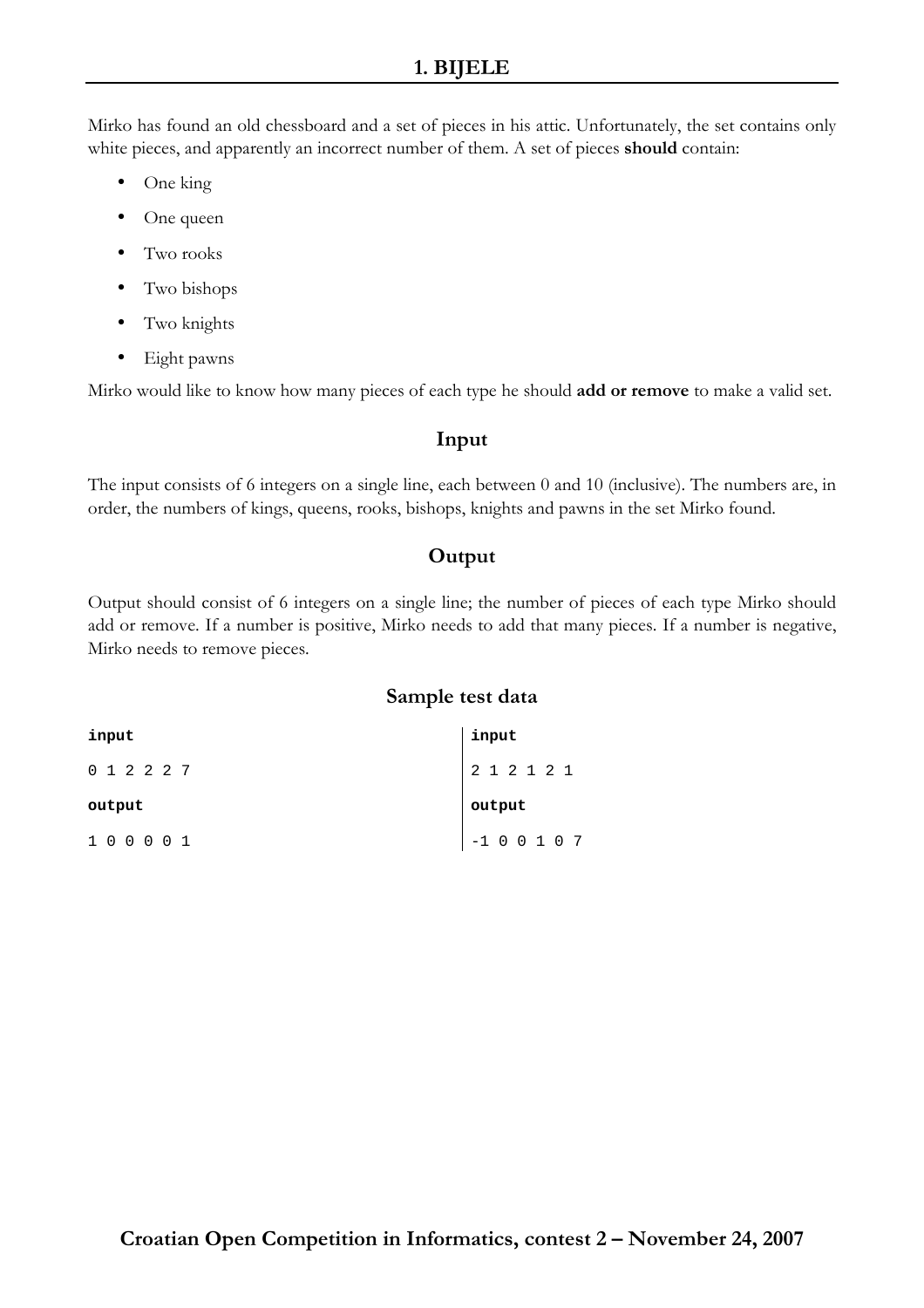Mirko has found an old chessboard and a set of pieces in his attic. Unfortunately, the set contains only white pieces, and apparently an incorrect number of them. A set of pieces **should** contain:

- One king
- One queen
- Two rooks
- Two bishops
- Two knights
- Eight pawns

Mirko would like to know how many pieces of each type he should **add or remove** to make a valid set.

# Input

The input consists of 6 integers on a single line, each between 0 and 10 (inclusive). The numbers are, in order, the numbers of kings, queens, rooks, bishops, knights and pawns in the set Mirko found.

# **Output**

Output should consist of 6 integers on a single line; the number of pieces of each type Mirko should add or remove. If a number is positive, Mirko needs to add that many pieces. If a number is negative, Mirko needs to remove pieces.

| input       | input       |
|-------------|-------------|
| 0 1 2 2 2 7 | 2 1 2 1 2 1 |
|             |             |
| output      | output      |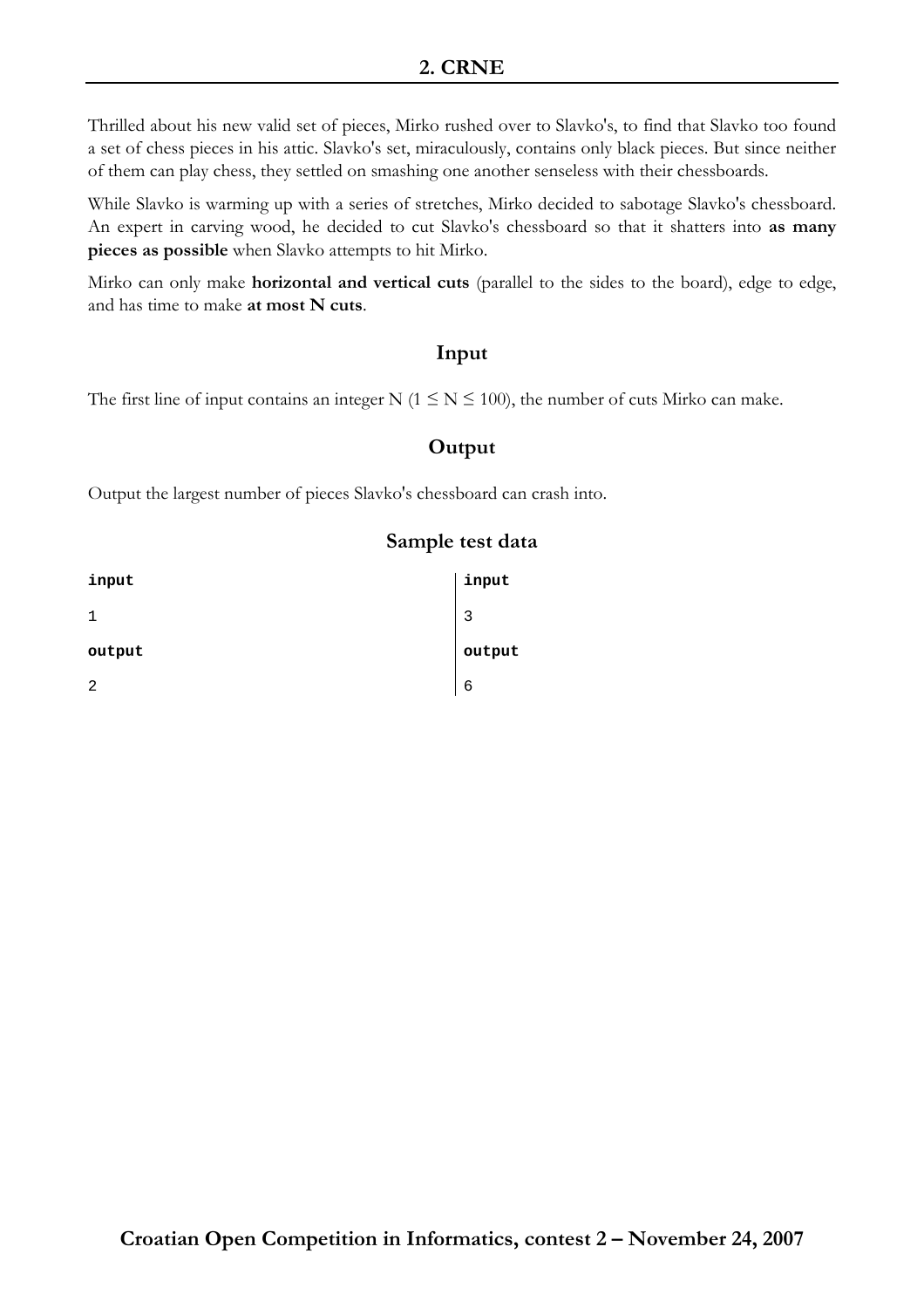Thrilled about his new valid set of pieces, Mirko rushed over to Slavko's, to find that Slavko too found a set of chess pieces in his attic. Slavko's set, miraculously, contains only black pieces. But since neither of them can play chess, they settled on smashing one another senseless with their chessboards.

While Slavko is warming up with a series of stretches, Mirko decided to sabotage Slavko's chessboard. An expert in carving wood, he decided to cut Slavko's chessboard so that it shatters into as many pieces as possible when Slavko attempts to hit Mirko.

Mirko can only make horizontal and vertical cuts (parallel to the sides to the board), edge to edge, and has time to make at most N cuts.

## Input

The first line of input contains an integer N ( $1 \le N \le 100$ ), the number of cuts Mirko can make.

# **Output**

Output the largest number of pieces Slavko's chessboard can crash into.

| input  | input  |
|--------|--------|
|        | 3      |
| output | output |
| 2      | 6      |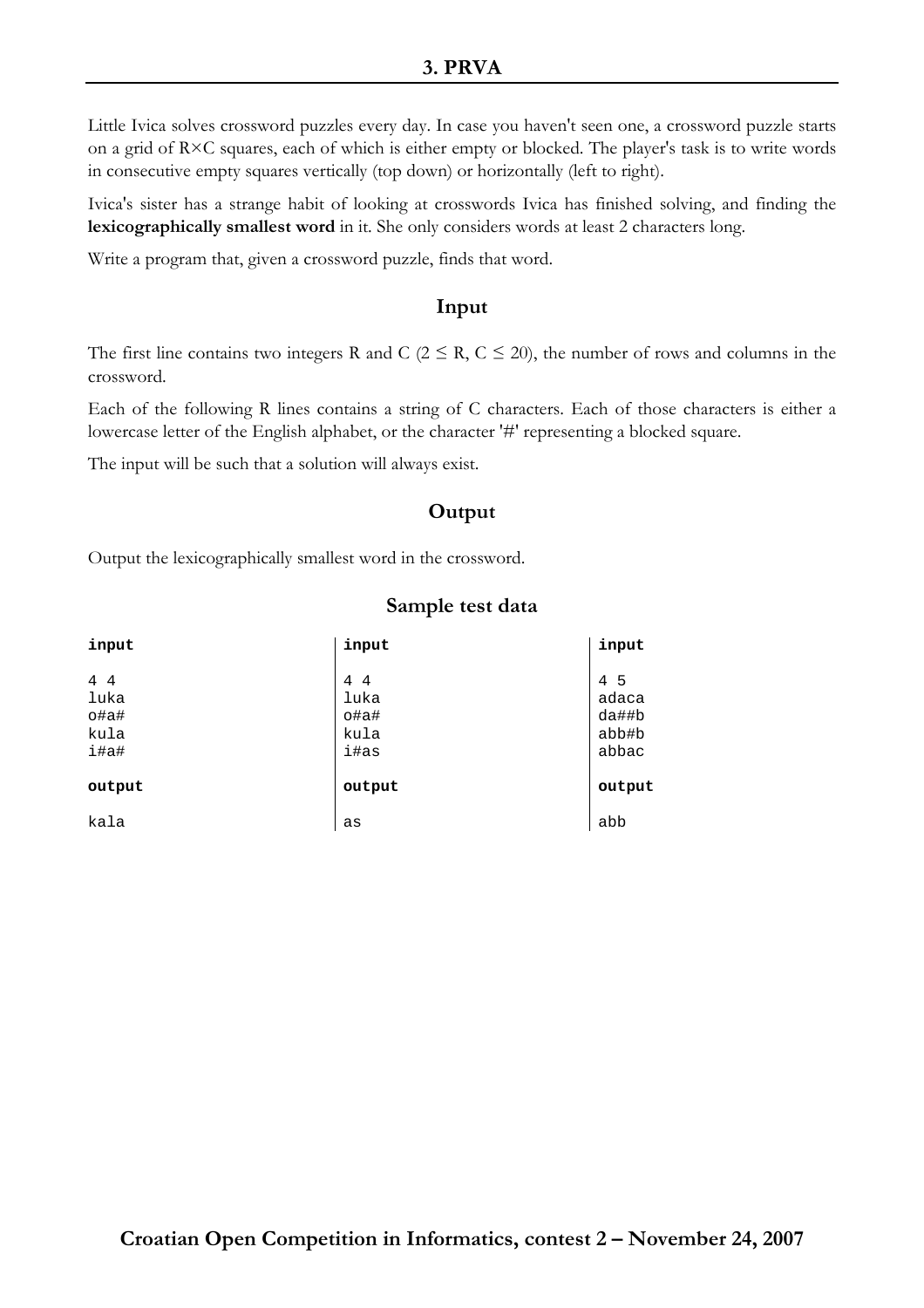Little Ivica solves crossword puzzles every day. In case you haven't seen one, a crossword puzzle starts on a grid of R×C squares, each of which is either empty or blocked. The player's task is to write words in consecutive empty squares vertically (top down) or horizontally (left to right).

Ivica's sister has a strange habit of looking at crosswords Ivica has finished solving, and finding the lexicographically smallest word in it. She only considers words at least 2 characters long.

Write a program that, given a crossword puzzle, finds that word.

## Input

The first line contains two integers R and C ( $2 \le R$ ,  $C \le 20$ ), the number of rows and columns in the crossword.

Each of the following R lines contains a string of C characters. Each of those characters is either a lowercase letter of the English alphabet, or the character '#' representing a blocked square.

The input will be such that a solution will always exist.

#### **Output**

Output the lexicographically smallest word in the crossword.

| input                               | input                                                  | input                                       |
|-------------------------------------|--------------------------------------------------------|---------------------------------------------|
| 4 4<br>luka<br>o#a#<br>kula<br>i#a# | 4<br>$\overline{4}$<br>luka<br>$o$ #a#<br>kula<br>i#as | 4<br>-5<br>adaca<br>da##b<br>abb#b<br>abbac |
| output                              | output                                                 | output                                      |
| kala                                | as                                                     | abb                                         |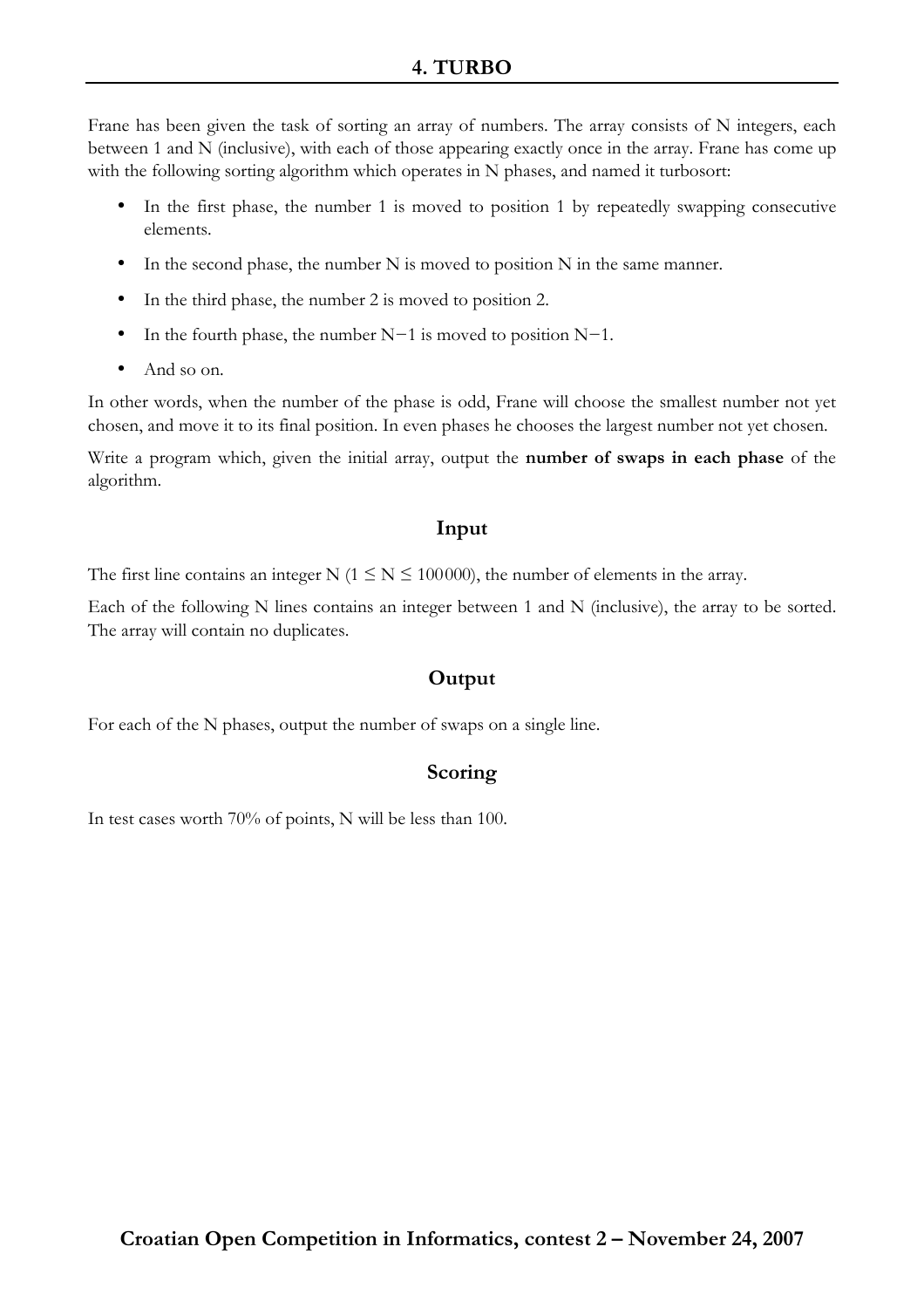# 4. TURBO

Frane has been given the task of sorting an array of numbers. The array consists of N integers, each between 1 and N (inclusive), with each of those appearing exactly once in the array. Frane has come up with the following sorting algorithm which operates in N phases, and named it turbosort:

- In the first phase, the number 1 is moved to position 1 by repeatedly swapping consecutive elements.
- In the second phase, the number  $N$  is moved to position  $N$  in the same manner.
- In the third phase, the number 2 is moved to position 2.
- In the fourth phase, the number N−1 is moved to position N−1.
- And so on.

In other words, when the number of the phase is odd, Frane will choose the smallest number not yet chosen, and move it to its final position. In even phases he chooses the largest number not yet chosen.

Write a program which, given the initial array, output the number of swaps in each phase of the algorithm.

## Input

The first line contains an integer N ( $1 \le N \le 100000$ ), the number of elements in the array.

Each of the following N lines contains an integer between 1 and N (inclusive), the array to be sorted. The array will contain no duplicates.

# **Output**

For each of the N phases, output the number of swaps on a single line.

## Scoring

In test cases worth 70% of points, N will be less than 100.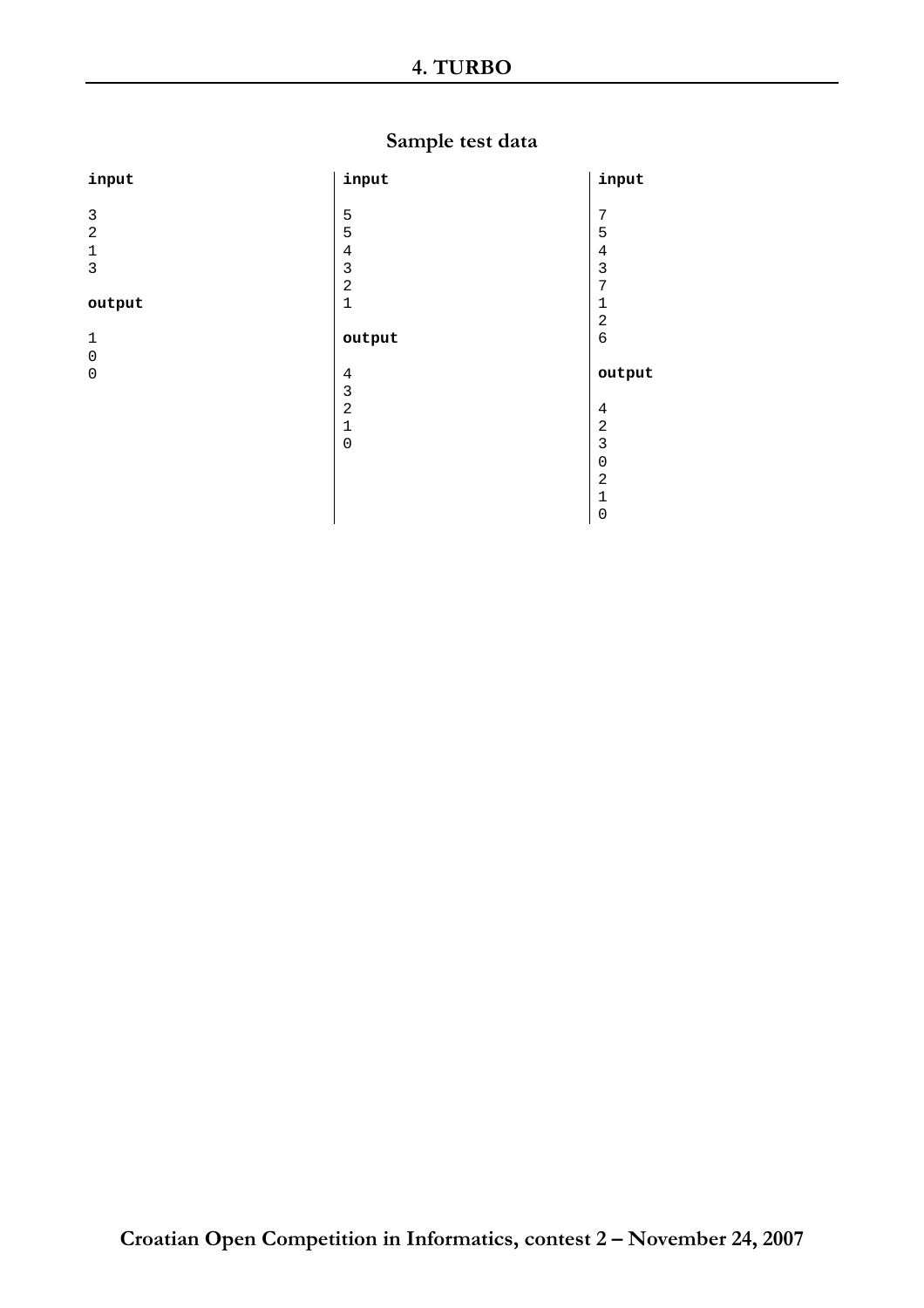# Sample test data

| input          | input               | input                   |
|----------------|---------------------|-------------------------|
|                |                     |                         |
| $\mathfrak{Z}$ | 5                   | 7                       |
| $\overline{a}$ | 5                   | 5                       |
| $\mathbf 1$    | $\,4$               | $\,4$                   |
| $\mathfrak{Z}$ | $\mathsf 3$         | $\mathsf 3$             |
|                | $\overline{a}$      | 7                       |
| output         | $\mathbf 1$         | 1                       |
|                |                     | $\overline{a}$          |
| $1\,$          | output              | $\sqrt{6}$              |
|                |                     |                         |
| $\mathbf 0$    |                     |                         |
| $\mathbf 0$    | $\bf 4$             | output                  |
|                | $\mathsf 3$         |                         |
|                | $\overline{a}$      | 4                       |
|                | $\mathbf 1$         | $\overline{\mathbf{c}}$ |
|                | $\mathsf{O}\xspace$ | 3                       |
|                |                     | 0                       |
|                |                     | $\overline{a}$          |
|                |                     | $\mathbf{1}$            |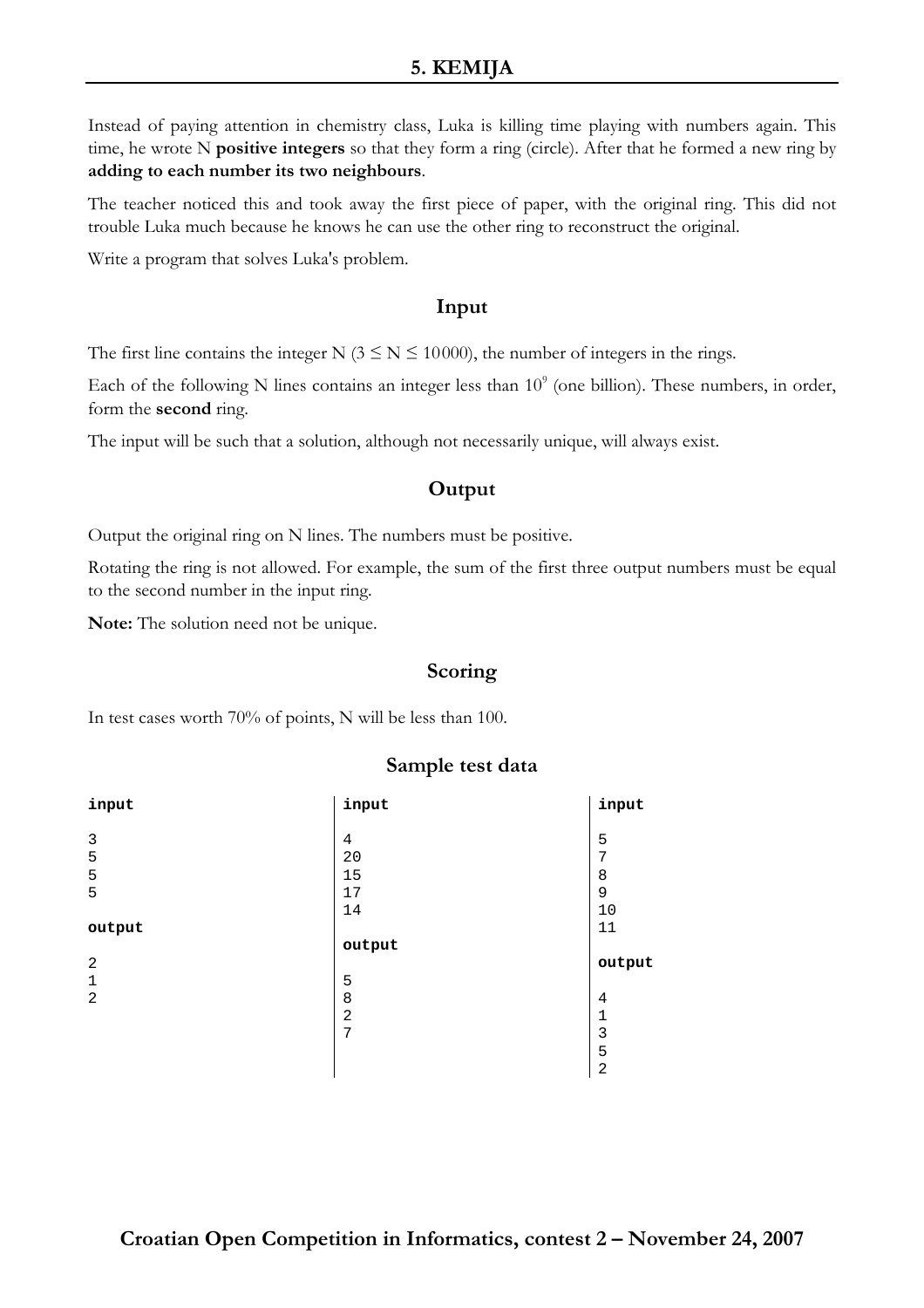# 5. KEMIJA

Instead of paying attention in chemistry class, Luka is killing time playing with numbers again. This time, he wrote N positive integers so that they form a ring (circle). After that he formed a new ring by adding to each number its two neighbours.

The teacher noticed this and took away the first piece of paper, with the original ring. This did not trouble Luka much because he knows he can use the other ring to reconstruct the original.

Write a program that solves Luka's problem.

#### Input

The first line contains the integer N ( $3 \le N \le 10000$ ), the number of integers in the rings.

Each of the following N lines contains an integer less than  $10^9$  (one billion). These numbers, in order, form the second ring.

The input will be such that a solution, although not necessarily unique, will always exist.

# **Output**

Output the original ring on N lines. The numbers must be positive.

Rotating the ring is not allowed. For example, the sum of the first three output numbers must be equal to the second number in the input ring.

Note: The solution need not be unique.

#### Scoring

In test cases worth 70% of points, N will be less than 100.

| input          | input          | input  |
|----------------|----------------|--------|
|                |                |        |
| 3              | 4              | 5      |
| 5              | 20             | 7      |
| 5              | 15             | 8      |
| 5              | 17             | 9      |
|                | 14             | 10     |
| output         |                | 11     |
|                |                |        |
|                | output         |        |
| $\overline{2}$ |                | output |
| $\mathbf{1}$   | 5              |        |
| $\overline{2}$ | 8              | 4      |
|                | $\overline{a}$ | 1      |
|                | 7              | 3      |
|                |                | 5      |